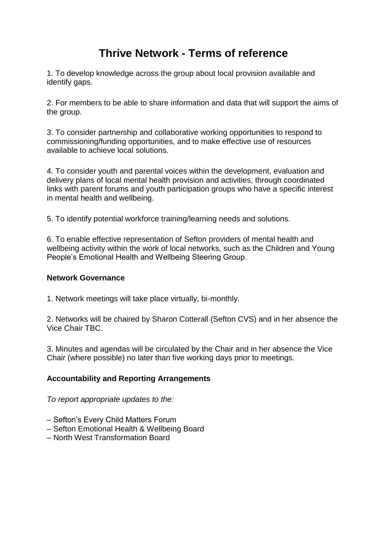## **Thrive Network - Terms of reference**

1. To develop knowledge across the group about local provision available and identify gaps.

2. For members to be able to share information and data that will support the aims of the group.

3. To consider partnership and collaborative working opportunities to respond to commissioning/funding opportunities, and to make effective use of resources available to achieve local solutions.

4. To consider youth and parental voices within the development, evaluation and delivery plans of local mental health provision and activities, through coordinated links with parent forums and youth participation groups who have a specific interest in mental health and wellbeing.

5. To identify potential workforce training/learning needs and solutions.

6. To enable effective representation of Sefton providers of mental health and wellbeing activity within the work of local networks, such as the Children and Young People's Emotional Health and Wellbeing Steering Group.

## **Network Governance**

1. Network meetings will take place virtually, bi-monthly.

2. Networks will be chaired by Sharon Cotterall (Sefton CVS) and in her absence the Vice Chair TBC.

3. Minutes and agendas will be circulated by the Chair and in her absence the Vice Chair (where possible) no later than five working days prior to meetings.

## **Accountability and Reporting Arrangements**

*To report appropriate updates to the:*

- Sefton's Every Child Matters Forum
- Sefton Emotional Health & Wellbeing Board
- North West Transformation Board